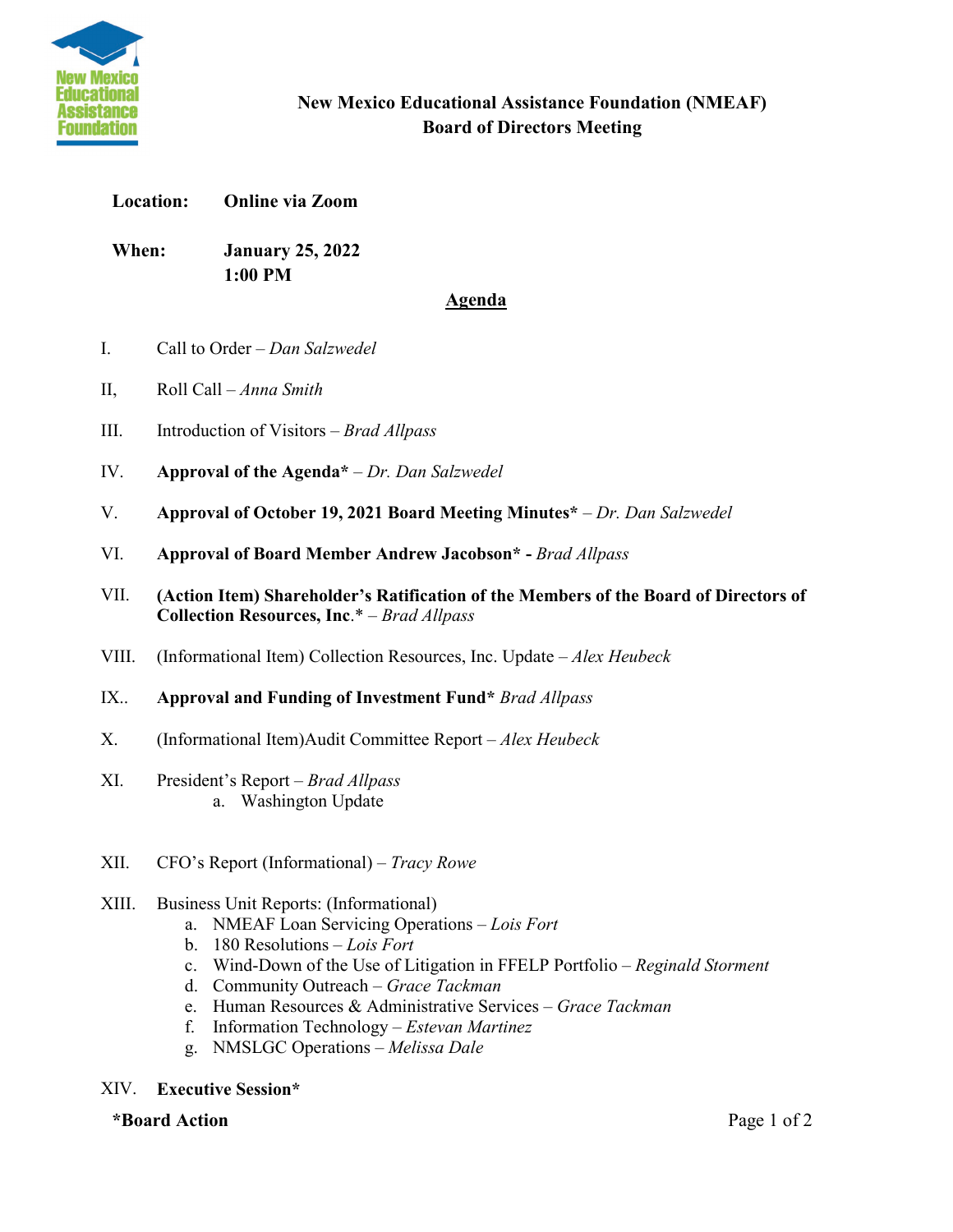

### **New Mexico Educational Assistance Foundation (NMEAF) Board of Directors Meeting**

#### **Location: Online via Zoom**

**When: January 25, 2022 1:00 PM** 

#### **Agenda**

- I. Call to Order *Dan Salzwedel*
- II, Roll Call *Anna Smith*
- III. Introduction of Visitors *Brad Allpass*
- IV. **Approval of the Agenda\*** *– Dr. Dan Salzwedel*
- V. **Approval of October 19, 2021 Board Meeting Minutes\***  *Dr. Dan Salzwedel*
- VI. **Approval of Board Member Andrew Jacobson\* -** *Brad Allpass*
- VII. **(Action Item) Shareholder's Ratification of the Members of the Board of Directors of Collection Resources, Inc**.\* – *Brad Allpass*
- VIII. (Informational Item) Collection Resources, Inc. Update *Alex Heubeck*
- IX.. **Approval and Funding of Investment Fund\*** *Brad Allpass*
- X. (Informational Item)Audit Committee Report *Alex Heubeck*
- XI. President's Report *– Brad Allpass* a. Washington Update
- XII. CFO's Report (Informational) *– Tracy Rowe*
- XIII. Business Unit Reports: (Informational)
	- a. NMEAF Loan Servicing Operations *Lois Fort*
	- b. 180 Resolutions *Lois Fort*
	- c. Wind-Down of the Use of Litigation in FFELP Portfolio *Reginald Storment*
	- d. Community Outreach *Grace Tackman*
	- e. Human Resources & Administrative Services *Grace Tackman*
	- f. Information Technology *Estevan Martinez*
	- g. NMSLGC Operations *Melissa Dale*

#### XIV. **Executive Session\***

**\*Board Action** Page 1 of 2